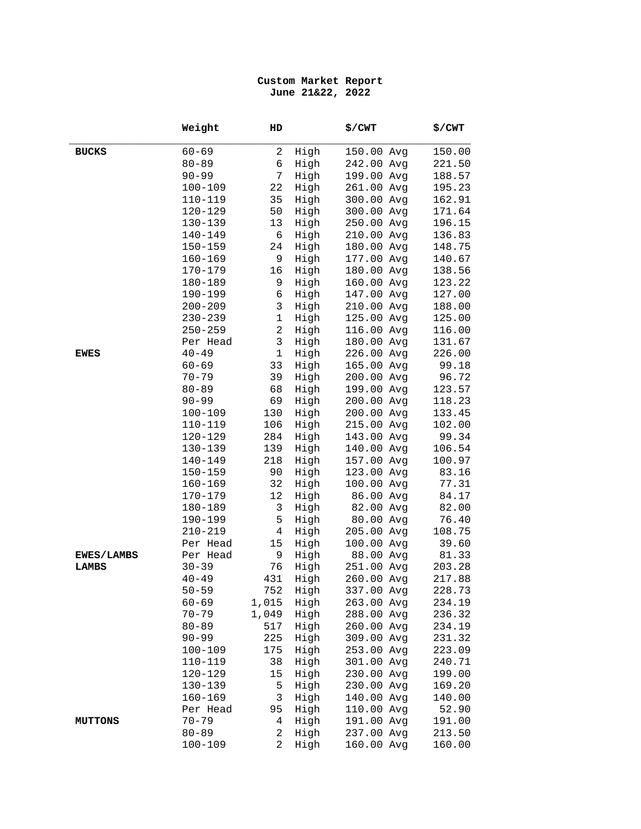## **Custom Market Report June 21&22, 2022**

|                | Weight      | HD             |      | \$/CWT     | \$/CWT |
|----------------|-------------|----------------|------|------------|--------|
| <b>BUCKS</b>   | $60 - 69$   | $\overline{a}$ | High | 150.00 Avg | 150.00 |
|                | $80 - 89$   | 6              | High | 242.00 Avg | 221.50 |
|                | $90 - 99$   | 7              | High | 199.00 Avg | 188.57 |
|                | 100-109     | 22             | High | 261.00 Avg | 195.23 |
|                | 110-119     | 35             | High | 300.00 Avg | 162.91 |
|                | 120-129     | 50             | High | 300.00 Avg | 171.64 |
|                | 130-139     | 13             | High | 250.00 Avg | 196.15 |
|                | 140-149     | 6              | High | 210.00 Avg | 136.83 |
|                | $150 - 159$ | 24             | High | 180.00 Avg | 148.75 |
|                | $160 - 169$ | 9              | High | 177.00 Avg | 140.67 |
|                | $170 - 179$ | 16             | High | 180.00 Avg | 138.56 |
|                | 180-189     | 9              | High | 160.00 Avg | 123.22 |
|                | 190-199     | 6              | High | 147.00 Avg | 127.00 |
|                | $200 - 209$ | 3              | High | 210.00 Avg | 188.00 |
|                | $230 - 239$ | $\mathbf 1$    | High | 125.00 Avg | 125.00 |
|                | $250 - 259$ | $\overline{2}$ | High | 116.00 Avg | 116.00 |
|                | Per Head    | 3              | High | 180.00 Avg | 131.67 |
| EWES           | $40 - 49$   | $\mathbf{1}$   | High | 226.00 Avg | 226.00 |
|                | $60 - 69$   | 33             | High | 165.00 Avg | 99.18  |
|                | $70 - 79$   | 39             | High | 200.00 Avg | 96.72  |
|                | $80 - 89$   | 68             | High | 199.00 Avg | 123.57 |
|                | $90 - 99$   | 69             | High | 200.00 Avg | 118.23 |
|                | $100 - 109$ | 130            | High | 200.00 Avg | 133.45 |
|                | $110 - 119$ | 106            | High | 215.00 Avg | 102.00 |
|                | 120-129     | 284            | High | 143.00 Avg | 99.34  |
|                | 130-139     | 139            | High | 140.00 Avg | 106.54 |
|                | 140-149     | 218            | High | 157.00 Avg | 100.97 |
|                | $150 - 159$ | 90             | High | 123.00 Avg | 83.16  |
|                | $160 - 169$ | 32             | High | 100.00 Avg | 77.31  |
|                | 170-179     | 12             | High | 86.00 Avg  | 84.17  |
|                | 180-189     | 3              | High | 82.00 Avg  | 82.00  |
|                | 190-199     | 5              | High | 80.00 Avg  | 76.40  |
|                | $210 - 219$ | $\overline{4}$ | High | 205.00 Avg | 108.75 |
|                | Per Head    | 15             | High | 100.00 Avg | 39.60  |
| EWES/LAMBS     | Per Head    | 9              | High | 88.00 Avg  | 81.33  |
| LAMBS          | $30 - 39$   | 76             | High | 251.00 Avg | 203.28 |
|                | $40 - 49$   | 431            | High | 260.00 Avg | 217.88 |
|                | $50 - 59$   | 752            | High | 337.00 Avg | 228.73 |
|                | $60 - 69$   | 1,015          | High | 263.00 Avg | 234.19 |
|                | $70 - 79$   | 1,049          | High | 288.00 Avg | 236.32 |
|                | $80 - 89$   | 517            | High | 260.00 Avg | 234.19 |
|                | $90 - 99$   | 225            | High | 309.00 Avg | 231.32 |
|                | $100 - 109$ | 175            | High | 253.00 Avg | 223.09 |
|                | 110-119     | 38             | High | 301.00 Avg | 240.71 |
|                | 120-129     | 15             | High | 230.00 Avg | 199.00 |
|                | 130-139     | 5              | High | 230.00 Avg | 169.20 |
|                | $160 - 169$ | 3              | High | 140.00 Avg | 140.00 |
|                | Per Head    | 95             | High | 110.00 Avg | 52.90  |
| <b>MUTTONS</b> | $70 - 79$   | 4              | High | 191.00 Avg | 191.00 |
|                | $80 - 89$   | 2              | High | 237.00 Avg | 213.50 |
|                | $100 - 109$ | $\overline{a}$ | High | 160.00 Avg | 160.00 |